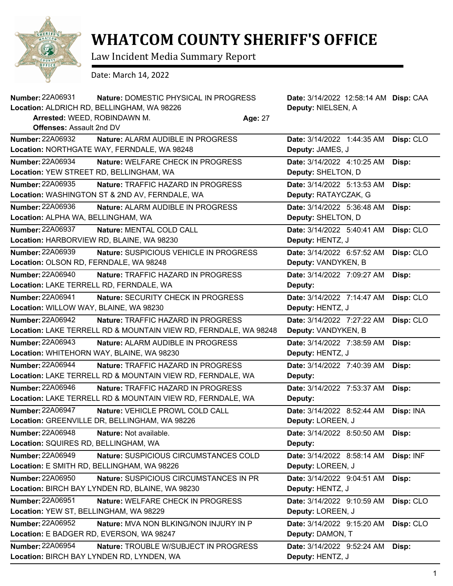

## **WHATCOM COUNTY SHERIFF'S OFFICE**

Law Incident Media Summary Report

Date: March 14, 2022

| <b>Number: 22A06931</b>                  | Nature: DOMESTIC PHYSICAL IN PROGRESS                            |         | Date: 3/14/2022 12:58:14 AM Disp: CAA |           |
|------------------------------------------|------------------------------------------------------------------|---------|---------------------------------------|-----------|
|                                          | Location: ALDRICH RD, BELLINGHAM, WA 98226                       |         | Deputy: NIELSEN, A                    |           |
| Arrested: WEED, ROBINDAWN M.             |                                                                  | Age: 27 |                                       |           |
| <b>Offenses: Assault 2nd DV</b>          |                                                                  |         |                                       |           |
| <b>Number: 22A06932</b>                  | <b>Nature: ALARM AUDIBLE IN PROGRESS</b>                         |         | Date: 3/14/2022 1:44:35 AM            | Disp: CLO |
|                                          | Location: NORTHGATE WAY, FERNDALE, WA 98248                      |         | Deputy: JAMES, J                      |           |
| Number: 22A06934                         | Nature: WELFARE CHECK IN PROGRESS                                |         | Date: 3/14/2022 4:10:25 AM            | Disp:     |
| Location: YEW STREET RD, BELLINGHAM, WA  |                                                                  |         | Deputy: SHELTON, D                    |           |
| <b>Number: 22A06935</b>                  | Nature: TRAFFIC HAZARD IN PROGRESS                               |         | Date: 3/14/2022 5:13:53 AM            | Disp:     |
|                                          | Location: WASHINGTON ST & 2ND AV, FERNDALE, WA                   |         | Deputy: RATAYCZAK, G                  |           |
| Number: 22A06936                         | Nature: ALARM AUDIBLE IN PROGRESS                                |         | Date: 3/14/2022 5:36:48 AM            | Disp:     |
| Location: ALPHA WA, BELLINGHAM, WA       |                                                                  |         | Deputy: SHELTON, D                    |           |
| <b>Number: 22A06937</b>                  | Nature: MENTAL COLD CALL                                         |         | Date: 3/14/2022 5:40:41 AM            | Disp: CLO |
|                                          | Location: HARBORVIEW RD, BLAINE, WA 98230                        |         | Deputy: HENTZ, J                      |           |
| <b>Number: 22A06939</b>                  | Nature: SUSPICIOUS VEHICLE IN PROGRESS                           |         | Date: 3/14/2022 6:57:52 AM            | Disp: CLO |
| Location: OLSON RD, FERNDALE, WA 98248   |                                                                  |         | Deputy: VANDYKEN, B                   |           |
| <b>Number: 22A06940</b>                  | Nature: TRAFFIC HAZARD IN PROGRESS                               |         | Date: 3/14/2022 7:09:27 AM            | Disp:     |
| Location: LAKE TERRELL RD, FERNDALE, WA  |                                                                  |         | Deputy:                               |           |
| <b>Number: 22A06941</b>                  | Nature: SECURITY CHECK IN PROGRESS                               |         | Date: 3/14/2022 7:14:47 AM            | Disp: CLO |
| Location: WILLOW WAY, BLAINE, WA 98230   |                                                                  |         | Deputy: HENTZ, J                      |           |
| <b>Number: 22A06942</b>                  | <b>Nature: TRAFFIC HAZARD IN PROGRESS</b>                        |         | Date: 3/14/2022 7:27:22 AM            | Disp: CLO |
|                                          | Location: LAKE TERRELL RD & MOUNTAIN VIEW RD, FERNDALE, WA 98248 |         | Deputy: VANDYKEN, B                   |           |
| <b>Number: 22A06943</b>                  | Nature: ALARM AUDIBLE IN PROGRESS                                |         | Date: 3/14/2022 7:38:59 AM            | Disp:     |
|                                          | Location: WHITEHORN WAY, BLAINE, WA 98230                        |         | Deputy: HENTZ, J                      |           |
| <b>Number: 22A06944</b>                  | <b>Nature: TRAFFIC HAZARD IN PROGRESS</b>                        |         | Date: 3/14/2022 7:40:39 AM            | Disp:     |
|                                          | Location: LAKE TERRELL RD & MOUNTAIN VIEW RD, FERNDALE, WA       |         | Deputy:                               |           |
| <b>Number: 22A06946</b>                  | Nature: TRAFFIC HAZARD IN PROGRESS                               |         | Date: 3/14/2022 7:53:37 AM            | Disp:     |
|                                          | Location: LAKE TERRELL RD & MOUNTAIN VIEW RD, FERNDALE, WA       |         | Deputy:                               |           |
| <b>Number: 22A06947</b>                  | Nature: VEHICLE PROWL COLD CALL                                  |         | Date: 3/14/2022 8:52:44 AM            | Disp: INA |
|                                          | Location: GREENVILLE DR, BELLINGHAM, WA 98226                    |         | Deputy: LOREEN, J                     |           |
| <b>Number: 22A06948</b>                  | Nature: Not available.                                           |         | Date: 3/14/2022 8:50:50 AM            | Disp:     |
| Location: SQUIRES RD, BELLINGHAM, WA     |                                                                  |         | Deputy:                               |           |
| Number: 22A06949                         | Nature: SUSPICIOUS CIRCUMSTANCES COLD                            |         | Date: 3/14/2022 8:58:14 AM            | Disp: INF |
|                                          | Location: E SMITH RD, BELLINGHAM, WA 98226                       |         | Deputy: LOREEN, J                     |           |
| Number: 22A06950                         | Nature: SUSPICIOUS CIRCUMSTANCES IN PR                           |         | Date: 3/14/2022 9:04:51 AM            | Disp:     |
|                                          | Location: BIRCH BAY LYNDEN RD, BLAINE, WA 98230                  |         | Deputy: HENTZ, J                      |           |
| Number: 22A06951                         | Nature: WELFARE CHECK IN PROGRESS                                |         | Date: 3/14/2022 9:10:59 AM            | Disp: CLO |
| Location: YEW ST, BELLINGHAM, WA 98229   |                                                                  |         | Deputy: LOREEN, J                     |           |
| <b>Number: 22A06952</b>                  | Nature: MVA NON BLKING/NON INJURY IN P                           |         | Date: 3/14/2022 9:15:20 AM            | Disp: CLO |
| Location: E BADGER RD, EVERSON, WA 98247 |                                                                  |         | Deputy: DAMON, T                      |           |
| Number: 22A06954                         | Nature: TROUBLE W/SUBJECT IN PROGRESS                            |         | Date: 3/14/2022 9:52:24 AM            | Disp:     |
|                                          | Location: BIRCH BAY LYNDEN RD, LYNDEN, WA                        |         | Deputy: HENTZ, J                      |           |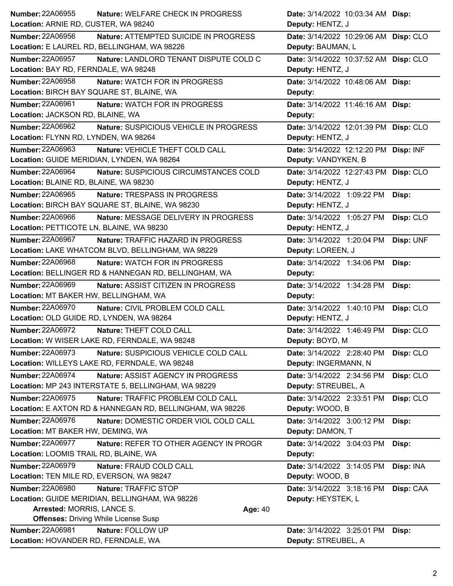| <b>Number: 22A06955</b>                    | Nature: WELFARE CHECK IN PROGRESS                        | Date: 3/14/2022 10:03:34 AM Disp:     |           |
|--------------------------------------------|----------------------------------------------------------|---------------------------------------|-----------|
| Location: ARNIE RD, CUSTER, WA 98240       |                                                          | Deputy: HENTZ, J                      |           |
| <b>Number: 22A06956</b>                    | Nature: ATTEMPTED SUICIDE IN PROGRESS                    | Date: 3/14/2022 10:29:06 AM Disp: CLO |           |
|                                            | Location: E LAUREL RD, BELLINGHAM, WA 98226              | Deputy: BAUMAN, L                     |           |
| <b>Number: 22A06957</b>                    | Nature: LANDLORD TENANT DISPUTE COLD C                   | Date: 3/14/2022 10:37:52 AM Disp: CLO |           |
| Location: BAY RD, FERNDALE, WA 98248       |                                                          | Deputy: HENTZ, J                      |           |
| <b>Number: 22A06958</b>                    | Nature: WATCH FOR IN PROGRESS                            | Date: 3/14/2022 10:48:06 AM Disp:     |           |
| Location: BIRCH BAY SQUARE ST, BLAINE, WA  |                                                          | Deputy:                               |           |
| Number: 22A06961                           | Nature: WATCH FOR IN PROGRESS                            | Date: 3/14/2022 11:46:16 AM Disp:     |           |
| Location: JACKSON RD, BLAINE, WA           |                                                          | Deputy:                               |           |
| Number: 22A06962                           | Nature: SUSPICIOUS VEHICLE IN PROGRESS                   | Date: 3/14/2022 12:01:39 PM Disp: CLO |           |
| Location: FLYNN RD, LYNDEN, WA 98264       |                                                          | Deputy: HENTZ, J                      |           |
| Number: 22A06963                           | Nature: VEHICLE THEFT COLD CALL                          | Date: 3/14/2022 12:12:20 PM Disp: INF |           |
| Location: GUIDE MERIDIAN, LYNDEN, WA 98264 |                                                          | Deputy: VANDYKEN, B                   |           |
| <b>Number: 22A06964</b>                    | Nature: SUSPICIOUS CIRCUMSTANCES COLD                    | Date: 3/14/2022 12:27:43 PM Disp: CLO |           |
| Location: BLAINE RD, BLAINE, WA 98230      |                                                          | Deputy: HENTZ, J                      |           |
| Number: 22A06965                           | <b>Nature: TRESPASS IN PROGRESS</b>                      | Date: 3/14/2022 1:09:22 PM            | Disp:     |
|                                            | Location: BIRCH BAY SQUARE ST, BLAINE, WA 98230          | Deputy: HENTZ, J                      |           |
| Number: 22A06966                           | Nature: MESSAGE DELIVERY IN PROGRESS                     | Date: 3/14/2022 1:05:27 PM            | Disp: CLO |
| Location: PETTICOTE LN, BLAINE, WA 98230   |                                                          | Deputy: HENTZ, J                      |           |
| <b>Number: 22A06967</b>                    | <b>Nature: TRAFFIC HAZARD IN PROGRESS</b>                | Date: 3/14/2022 1:20:04 PM            | Disp: UNF |
|                                            | Location: LAKE WHATCOM BLVD, BELLINGHAM, WA 98229        | Deputy: LOREEN, J                     |           |
| Number: 22A06968                           | <b>Nature: WATCH FOR IN PROGRESS</b>                     | Date: 3/14/2022 1:34:06 PM            | Disp:     |
|                                            | Location: BELLINGER RD & HANNEGAN RD, BELLINGHAM, WA     | Deputy:                               |           |
| <b>Number: 22A06969</b>                    | Nature: ASSIST CITIZEN IN PROGRESS                       | Date: 3/14/2022 1:34:28 PM            | Disp:     |
| Location: MT BAKER HW, BELLINGHAM, WA      |                                                          | Deputy:                               |           |
| <b>Number: 22A06970</b>                    | Nature: CIVIL PROBLEM COLD CALL                          | Date: 3/14/2022 1:40:10 PM            | Disp: CLO |
| Location: OLD GUIDE RD, LYNDEN, WA 98264   |                                                          | Deputy: HENTZ, J                      |           |
| <b>Number: 22A06972</b>                    | Nature: THEFT COLD CALL                                  | Date: 3/14/2022 1:46:49 PM Disp: CLO  |           |
|                                            | Location: W WISER LAKE RD, FERNDALE, WA 98248            | Deputy: BOYD, M                       |           |
| Number: 22A06973                           | Nature: SUSPICIOUS VEHICLE COLD CALL                     | Date: 3/14/2022 2:28:40 PM            | Disp: CLO |
|                                            | Location: WILLEYS LAKE RD, FERNDALE, WA 98248            | Deputy: INGERMANN, N                  |           |
| Number: 22A06974                           | Nature: ASSIST AGENCY IN PROGRESS                        | Date: 3/14/2022 2:34:56 PM            | Disp: CLO |
|                                            | Location: MP 243 INTERSTATE 5, BELLINGHAM, WA 98229      | Deputy: STREUBEL, A                   |           |
| Number: 22A06975                           | Nature: TRAFFIC PROBLEM COLD CALL                        | Date: 3/14/2022 2:33:51 PM            | Disp: CLO |
|                                            | Location: E AXTON RD & HANNEGAN RD, BELLINGHAM, WA 98226 | Deputy: WOOD, B                       |           |
| <b>Number: 22A06976</b>                    | Nature: DOMESTIC ORDER VIOL COLD CALL                    | Date: 3/14/2022 3:00:12 PM            | Disp:     |
| Location: MT BAKER HW, DEMING, WA          |                                                          | Deputy: DAMON, T                      |           |
| <b>Number: 22A06977</b>                    | Nature: REFER TO OTHER AGENCY IN PROGR                   | Date: 3/14/2022 3:04:03 PM            | Disp:     |
| Location: LOOMIS TRAIL RD, BLAINE, WA      |                                                          | Deputy:                               |           |
| <b>Number: 22A06979</b>                    | Nature: FRAUD COLD CALL                                  | Date: 3/14/2022 3:14:05 PM            | Disp: INA |
| Location: TEN MILE RD, EVERSON, WA 98247   |                                                          | Deputy: WOOD, B                       |           |
| <b>Number: 22A06980</b>                    | Nature: TRAFFIC STOP                                     | Date: 3/14/2022 3:18:16 PM            | Disp: CAA |
|                                            | Location: GUIDE MERIDIAN, BELLINGHAM, WA 98226           | Deputy: HEYSTEK, L                    |           |
| Arrested: MORRIS, LANCE S.                 | Age: 40                                                  |                                       |           |
|                                            | <b>Offenses: Driving While License Susp</b>              |                                       |           |
| Number: 22A06981                           | Nature: FOLLOW UP                                        | Date: 3/14/2022 3:25:01 PM            | Disp:     |
| Location: HOVANDER RD, FERNDALE, WA        |                                                          | Deputy: STREUBEL, A                   |           |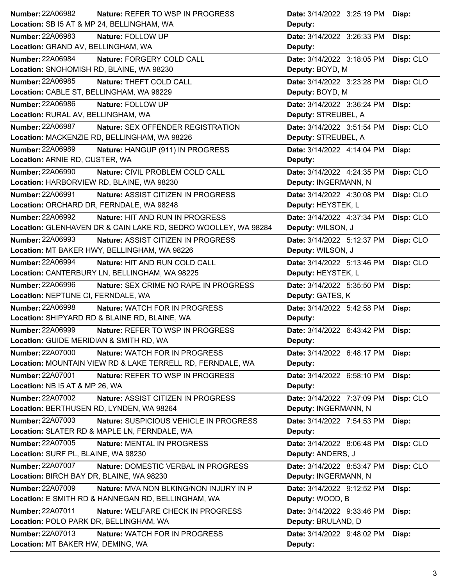| <b>Number: 22A06982</b>                    | <b>Nature: REFER TO WSP IN PROGRESS</b>                        | Date: 3/14/2022 3:25:19 PM | Disp:     |
|--------------------------------------------|----------------------------------------------------------------|----------------------------|-----------|
| Location: SB I5 AT & MP 24, BELLINGHAM, WA |                                                                | Deputy:                    |           |
| <b>Number: 22A06983</b>                    | Nature: FOLLOW UP                                              | Date: 3/14/2022 3:26:33 PM | Disp:     |
| Location: GRAND AV, BELLINGHAM, WA         |                                                                | Deputy:                    |           |
| <b>Number: 22A06984</b>                    | Nature: FORGERY COLD CALL                                      | Date: 3/14/2022 3:18:05 PM | Disp: CLO |
| Location: SNOHOMISH RD, BLAINE, WA 98230   |                                                                | Deputy: BOYD, M            |           |
| <b>Number: 22A06985</b>                    | Nature: THEFT COLD CALL                                        | Date: 3/14/2022 3:23:28 PM | Disp: CLO |
| Location: CABLE ST, BELLINGHAM, WA 98229   |                                                                | Deputy: BOYD, M            |           |
| <b>Number: 22A06986</b>                    | Nature: FOLLOW UP                                              | Date: 3/14/2022 3:36:24 PM | Disp:     |
| Location: RURAL AV, BELLINGHAM, WA         |                                                                | Deputy: STREUBEL, A        |           |
| <b>Number: 22A06987</b>                    | Nature: SEX OFFENDER REGISTRATION                              | Date: 3/14/2022 3:51:54 PM | Disp: CLO |
|                                            | Location: MACKENZIE RD, BELLINGHAM, WA 98226                   | Deputy: STREUBEL, A        |           |
| <b>Number: 22A06989</b>                    | Nature: HANGUP (911) IN PROGRESS                               | Date: 3/14/2022 4:14:04 PM | Disp:     |
| Location: ARNIE RD, CUSTER, WA             |                                                                | Deputy:                    |           |
| <b>Number: 22A06990</b>                    | Nature: CIVIL PROBLEM COLD CALL                                | Date: 3/14/2022 4:24:35 PM | Disp: CLO |
| Location: HARBORVIEW RD, BLAINE, WA 98230  |                                                                | Deputy: INGERMANN, N       |           |
| <b>Number: 22A06991</b>                    | Nature: ASSIST CITIZEN IN PROGRESS                             | Date: 3/14/2022 4:30:08 PM | Disp: CLO |
| Location: ORCHARD DR, FERNDALE, WA 98248   |                                                                | Deputy: HEYSTEK, L         |           |
| Number: 22A06992                           | Nature: HIT AND RUN IN PROGRESS                                | Date: 3/14/2022 4:37:34 PM | Disp: CLO |
|                                            | Location: GLENHAVEN DR & CAIN LAKE RD, SEDRO WOOLLEY, WA 98284 | Deputy: WILSON, J          |           |
| <b>Number: 22A06993</b>                    | Nature: ASSIST CITIZEN IN PROGRESS                             | Date: 3/14/2022 5:12:37 PM | Disp: CLO |
|                                            | Location: MT BAKER HWY, BELLINGHAM, WA 98226                   | Deputy: WILSON, J          |           |
| Number: 22A06994                           | Nature: HIT AND RUN COLD CALL                                  | Date: 3/14/2022 5:13:46 PM | Disp: CLO |
|                                            | Location: CANTERBURY LN, BELLINGHAM, WA 98225                  | Deputy: HEYSTEK, L         |           |
|                                            |                                                                |                            |           |
| <b>Number: 22A06996</b>                    | Nature: SEX CRIME NO RAPE IN PROGRESS                          | Date: 3/14/2022 5:35:50 PM | Disp:     |
| Location: NEPTUNE CI, FERNDALE, WA         |                                                                | Deputy: GATES, K           |           |
| <b>Number: 22A06998</b>                    | <b>Nature: WATCH FOR IN PROGRESS</b>                           | Date: 3/14/2022 5:42:58 PM | Disp:     |
|                                            | Location: SHIPYARD RD & BLAINE RD, BLAINE, WA                  | Deputy:                    |           |
| <b>Number: 22A06999</b>                    | Nature: REFER TO WSP IN PROGRESS                               | Date: 3/14/2022 6:43:42 PM | Disp:     |
| Location: GUIDE MERIDIAN & SMITH RD, WA    |                                                                | Deputy:                    |           |
| <b>Number: 22A07000</b>                    | Nature: WATCH FOR IN PROGRESS                                  | Date: 3/14/2022 6:48:17 PM | Disp:     |
|                                            | Location: MOUNTAIN VIEW RD & LAKE TERRELL RD, FERNDALE, WA     | Deputy:                    |           |
| <b>Number: 22A07001</b>                    | Nature: REFER TO WSP IN PROGRESS                               | Date: 3/14/2022 6:58:10 PM | Disp:     |
| Location: NB I5 AT & MP 26, WA             |                                                                | Deputy:                    |           |
| Number: 22A07002                           | Nature: ASSIST CITIZEN IN PROGRESS                             | Date: 3/14/2022 7:37:09 PM | Disp: CLO |
| Location: BERTHUSEN RD, LYNDEN, WA 98264   |                                                                | Deputy: INGERMANN, N       |           |
| Number: 22A07003                           | Nature: SUSPICIOUS VEHICLE IN PROGRESS                         | Date: 3/14/2022 7:54:53 PM | Disp:     |
|                                            | Location: SLATER RD & MAPLE LN, FERNDALE, WA                   | Deputy:                    |           |
| Number: 22A07005                           | Nature: MENTAL IN PROGRESS                                     | Date: 3/14/2022 8:06:48 PM | Disp: CLO |
| Location: SURF PL, BLAINE, WA 98230        |                                                                | Deputy: ANDERS, J          |           |
| <b>Number: 22A07007</b>                    | Nature: DOMESTIC VERBAL IN PROGRESS                            | Date: 3/14/2022 8:53:47 PM | Disp: CLO |
| Location: BIRCH BAY DR, BLAINE, WA 98230   |                                                                | Deputy: INGERMANN, N       |           |
| Number: 22A07009                           | Nature: MVA NON BLKING/NON INJURY IN P                         | Date: 3/14/2022 9:12:52 PM | Disp:     |
|                                            | Location: E SMITH RD & HANNEGAN RD, BELLINGHAM, WA             | Deputy: WOOD, B            |           |
| <b>Number: 22A07011</b>                    | Nature: WELFARE CHECK IN PROGRESS                              | Date: 3/14/2022 9:33:46 PM | Disp:     |
| Location: POLO PARK DR, BELLINGHAM, WA     |                                                                | Deputy: BRULAND, D         |           |
| Number: 22A07013                           | Nature: WATCH FOR IN PROGRESS                                  | Date: 3/14/2022 9:48:02 PM | Disp:     |